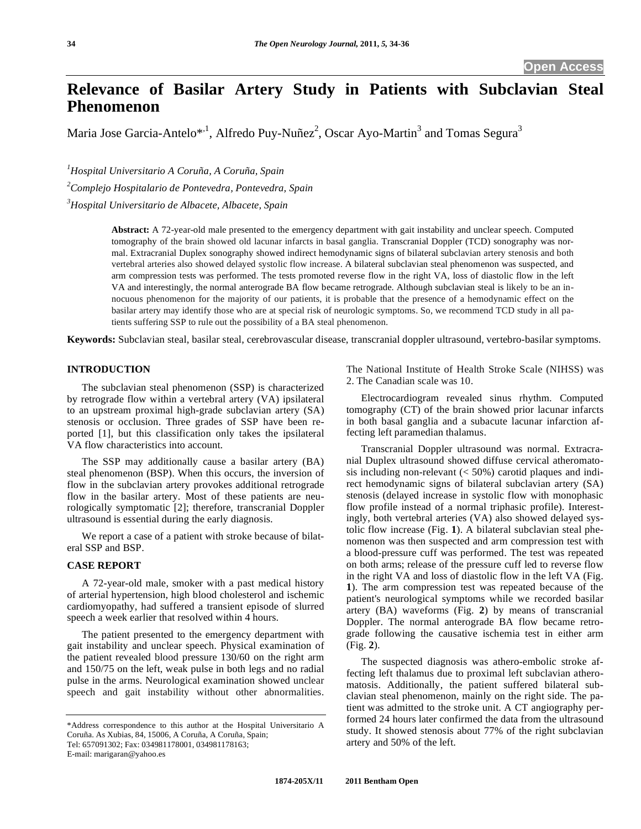# **Relevance of Basilar Artery Study in Patients with Subclavian Steal Phenomenon**

Maria Jose Garcia-Antelo\*<sup>,1</sup>, Alfredo Puy-Nuñez<sup>2</sup>, Oscar Ayo-Martin<sup>3</sup> and Tomas Segura<sup>3</sup>

*1 Hospital Universitario A Coruña, A Coruña, Spain* 

*2 Complejo Hospitalario de Pontevedra, Pontevedra, Spain* 

*3 Hospital Universitario de Albacete, Albacete, Spain* 

**Abstract:** A 72-year-old male presented to the emergency department with gait instability and unclear speech. Computed tomography of the brain showed old lacunar infarcts in basal ganglia. Transcranial Doppler (TCD) sonography was normal. Extracranial Duplex sonography showed indirect hemodynamic signs of bilateral subclavian artery stenosis and both vertebral arteries also showed delayed systolic flow increase. A bilateral subclavian steal phenomenon was suspected, and arm compression tests was performed. The tests promoted reverse flow in the right VA, loss of diastolic flow in the left VA and interestingly, the normal anterograde BA flow became retrograde. Although subclavian steal is likely to be an innocuous phenomenon for the majority of our patients, it is probable that the presence of a hemodynamic effect on the basilar artery may identify those who are at special risk of neurologic symptoms. So, we recommend TCD study in all patients suffering SSP to rule out the possibility of a BA steal phenomenon.

**Keywords:** Subclavian steal, basilar steal, cerebrovascular disease, transcranial doppler ultrasound, vertebro-basilar symptoms.

# **INTRODUCTION**

 The subclavian steal phenomenon (SSP) is characterized by retrograde flow within a vertebral artery (VA) ipsilateral to an upstream proximal high-grade subclavian artery (SA) stenosis or occlusion. Three grades of SSP have been reported [1], but this classification only takes the ipsilateral VA flow characteristics into account.

 The SSP may additionally cause a basilar artery (BA) steal phenomenon (BSP). When this occurs, the inversion of flow in the subclavian artery provokes additional retrograde flow in the basilar artery. Most of these patients are neurologically symptomatic [2]; therefore, transcranial Doppler ultrasound is essential during the early diagnosis.

 We report a case of a patient with stroke because of bilateral SSP and BSP.

#### **CASE REPORT**

 A 72-year-old male, smoker with a past medical history of arterial hypertension, high blood cholesterol and ischemic cardiomyopathy, had suffered a transient episode of slurred speech a week earlier that resolved within 4 hours.

 The patient presented to the emergency department with gait instability and unclear speech. Physical examination of the patient revealed blood pressure 130/60 on the right arm and 150/75 on the left, weak pulse in both legs and no radial pulse in the arms. Neurological examination showed unclear speech and gait instability without other abnormalities.

E-mail: marigaran@yahoo.es

The National Institute of Health Stroke Scale (NIHSS) was 2. The Canadian scale was 10.

 Electrocardiogram revealed sinus rhythm. Computed tomography (CT) of the brain showed prior lacunar infarcts in both basal ganglia and a subacute lacunar infarction affecting left paramedian thalamus.

 Transcranial Doppler ultrasound was normal. Extracranial Duplex ultrasound showed diffuse cervical atheromatosis including non-relevant  $(< 50\%)$  carotid plaques and indirect hemodynamic signs of bilateral subclavian artery (SA) stenosis (delayed increase in systolic flow with monophasic flow profile instead of a normal triphasic profile). Interestingly, both vertebral arteries (VA) also showed delayed systolic flow increase (Fig. **1**). A bilateral subclavian steal phenomenon was then suspected and arm compression test with a blood-pressure cuff was performed. The test was repeated on both arms; release of the pressure cuff led to reverse flow in the right VA and loss of diastolic flow in the left VA (Fig. **1**). The arm compression test was repeated because of the patient's neurological symptoms while we recorded basilar artery (BA) waveforms (Fig. **2**) by means of transcranial Doppler. The normal anterograde BA flow became retrograde following the causative ischemia test in either arm (Fig. **2**).

 The suspected diagnosis was athero-embolic stroke affecting left thalamus due to proximal left subclavian atheromatosis. Additionally, the patient suffered bilateral subclavian steal phenomenon, mainly on the right side. The patient was admitted to the stroke unit. A CT angiography performed 24 hours later confirmed the data from the ultrasound study. It showed stenosis about 77% of the right subclavian artery and 50% of the left.

<sup>\*</sup>Address correspondence to this author at the Hospital Universitario A Coruña. As Xubias, 84, 15006, A Coruña, A Coruña, Spain; Tel: 657091302; Fax: 034981178001, 034981178163;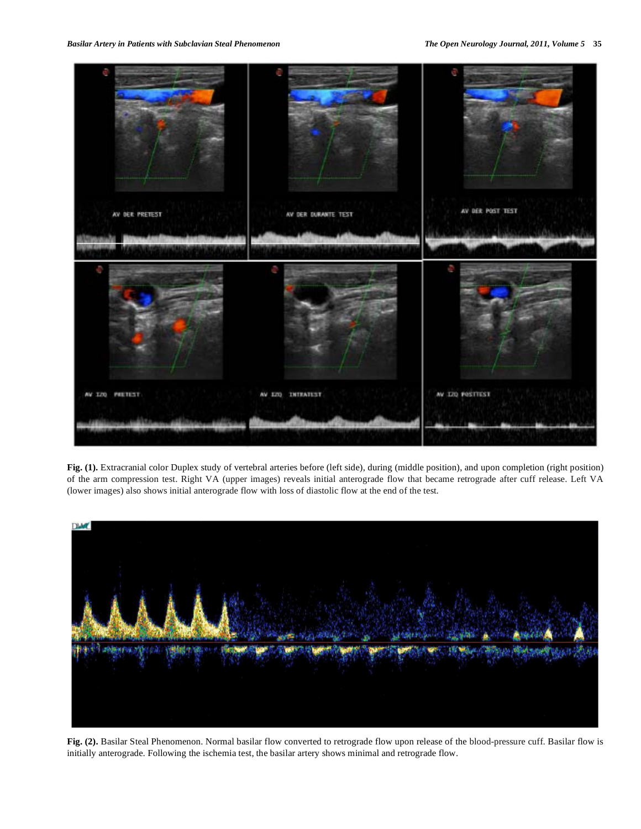

**Fig. (1).** Extracranial color Duplex study of vertebral arteries before (left side), during (middle position), and upon completion (right position) of the arm compression test. Right VA (upper images) reveals initial anterograde flow that became retrograde after cuff release. Left VA (lower images) also shows initial anterograde flow with loss of diastolic flow at the end of the test.



**Fig. (2).** Basilar Steal Phenomenon. Normal basilar flow converted to retrograde flow upon release of the blood-pressure cuff. Basilar flow is initially anterograde. Following the ischemia test, the basilar artery shows minimal and retrograde flow.